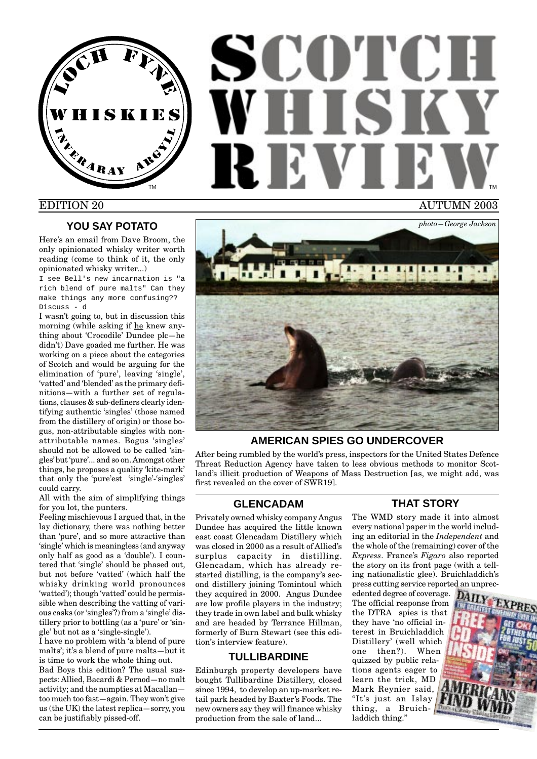

Here's an email from Dave Broom, the only opinionated whisky writer worth reading (come to think of it, the only opinionated whisky writer...)

I see Bell's new incarnation is "a rich blend of pure malts" Can they make things any more confusing?? Discuss - d

I wasn't going to, but in discussion this morning (while asking if he knew anything about 'Crocodile' Dundee plc—he didn't) Dave goaded me further. He was working on a piece about the categories of Scotch and would be arguing for the elimination of 'pure', leaving 'single', 'vatted' and 'blended' as the primary definitions—with a further set of regulations, clauses & sub-definers clearly identifying authentic 'singles' (those named from the distillery of origin) or those bogus, non-attributable singles with nonattributable names. Bogus 'singles' should not be allowed to be called 'singles' but 'pure'... and so on. Amongst other things, he proposes a quality 'kite-mark' that only the 'pure'est 'single'-'singles' could carry.

All with the aim of simplifying things for you lot, the punters.

Feeling mischievous I argued that, in the lay dictionary, there was nothing better than 'pure', and so more attractive than 'single' which is meaningless (and anyway only half as good as a 'double'). I countered that 'single' should be phased out, but not before 'vatted' (which half the whisky drinking world pronounces 'watted'); though 'vatted' could be permissible when describing the vatting of various casks (or 'singles'?) from a 'single' distillery prior to bottling (as a 'pure' or 'single' but not as a 'single-single').

I have no problem with 'a blend of pure malts'; it's a blend of pure malts—but it is time to work the whole thing out. Bad Boys this edition? The usual suspects: Allied, Bacardi & Pernod—no malt activity; and the numpties at Macallan too much too fast—again. They won't give us (the UK) the latest replica—sorry, you can be justifiably pissed-off.

# SCOTCH WHISKY RIEVI TM **THE REPORT OF STATE OF STATE OF STATE OF STATE OF STATE OF STATE OF STATE OF STATE OF STATE OF STATE OF STATE OF STATE OF STATE OF STATE OF STATE OF STATE OF STATE OF STATE OF STATE OF STATE OF STATE OF STATE OF STATE**



#### **AMERICAN SPIES GO UNDERCOVER**

After being rumbled by the world's press, inspectors for the United States Defence Threat Reduction Agency have taken to less obvious methods to monitor Scotland's illicit production of Weapons of Mass Destruction [as, we might add, was first revealed on the cover of SWR19].

#### **GLENCADAM**

Privately owned whisky company Angus Dundee has acquired the little known east coast Glencadam Distillery which was closed in 2000 as a result of Allied's surplus capacity in distilling. Glencadam, which has already restarted distilling, is the company's second distillery joining Tomintoul which they acquired in 2000. Angus Dundee are low profile players in the industry; they trade in own label and bulk whisky and are headed by Terrance Hillman, formerly of Burn Stewart (see this edition's interview feature).

#### **TULLIBARDINE**

Edinburgh property developers have bought Tullibardine Distillery, closed since 1994, to develop an up-market retail park headed by Baxter's Foods. The new owners say they will finance whisky production from the sale of land...

#### **THAT STORY**

The WMD story made it into almost every national paper in the world including an editorial in the *Independent* and the whole of the (remaining) cover of the *Express*. France's *Figaro* also reported the story on its front page (with a telling nationalistic glee). Bruichladdich's press cutting service reported an unprec-

edented degree of coverage. DAIL The official response from the DTRA spies is that they have 'no official interest in Bruichladdich Distillery' (well which one then?). When quizzed by public relations agents eager to learn the trick, MD Mark Reynier said, "It's just an Islay thing, a Bruichladdich thing."



#### EDITION 20 AUTUMN 2003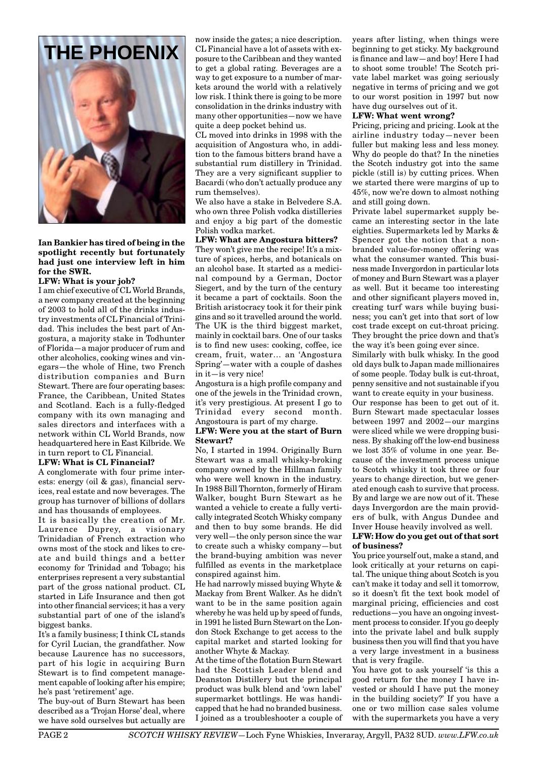

#### **Ian Bankier has tired of being in the spotlight recently but fortunately had just one interview left in him for the SWR.**

#### **LFW: What is your job?**

I am chief executive of CL World Brands, a new company created at the beginning of 2003 to hold all of the drinks industry investments of CL Financial of Trinidad. This includes the best part of Angostura, a majority stake in Todhunter of Florida—a major producer of rum and other alcoholics, cooking wines and vinegars—the whole of Hine, two French distribution companies and Burn Stewart. There are four operating bases: France, the Caribbean, United States and Scotland. Each is a fully-fledged company with its own managing and sales directors and interfaces with a network within CL World Brands, now headquartered here in East Kilbride. We in turn report to CL Financial.

#### **LFW: What is CL Financial?**

A conglomerate with four prime interests: energy (oil & gas), financial services, real estate and now beverages. The group has turnover of billions of dollars and has thousands of employees.

It is basically the creation of Mr. Laurence Duprey, a visionary Trinidadian of French extraction who owns most of the stock and likes to create and build things and a better economy for Trinidad and Tobago; his enterprises represent a very substantial part of the gross national product. CL started in Life Insurance and then got into other financial services; it has a very substantial part of one of the island's biggest banks.

It's a family business; I think CL stands for Cyril Lucian, the grandfather. Now because Laurence has no successors, part of his logic in acquiring Burn Stewart is to find competent management capable of looking after his empire; he's past 'retirement' age.

The buy-out of Burn Stewart has been described as a 'Trojan Horse' deal, where we have sold ourselves but actually are now inside the gates; a nice description. CL Financial have a lot of assets with exposure to the Caribbean and they wanted to get a global rating. Beverages are a way to get exposure to a number of markets around the world with a relatively low risk. I think there is going to be more consolidation in the drinks industry with many other opportunities—now we have quite a deep pocket behind us.

CL moved into drinks in 1998 with the acquisition of Angostura who, in addition to the famous bitters brand have a substantial rum distillery in Trinidad. They are a very significant supplier to Bacardi (who don't actually produce any rum themselves).

We also have a stake in Belvedere S.A. who own three Polish vodka distilleries and enjoy a big part of the domestic Polish vodka market.

#### **LFW: What are Angostura bitters?**

They won't give me the recipe! It's a mixture of spices, herbs, and botanicals on an alcohol base. It started as a medicinal compound by a German, Doctor Siegert, and by the turn of the century it became a part of cocktails. Soon the British aristocracy took it for their pink gins and so it travelled around the world. The UK is the third biggest market, mainly in cocktail bars. One of our tasks is to find new uses: cooking, coffee, ice cream, fruit, water… an 'Angostura Spring'—water with a couple of dashes in it—is very nice!

Angostura is a high profile company and one of the jewels in the Trinidad crown, it's very prestigious. At present I go to Trinidad every second month. Angostoura is part of my charge.

#### **LFW: Were you at the start of Burn Stewart?**

No, I started in 1994. Originally Burn Stewart was a small whisky-broking company owned by the Hillman family who were well known in the industry. In 1988 Bill Thornton, formerly of Hiram Walker, bought Burn Stewart as he wanted a vehicle to create a fully vertically integrated Scotch Whisky company and then to buy some brands. He did very well—the only person since the war to create such a whisky company—but the brand-buying ambition was never fulfilled as events in the marketplace conspired against him.

He had narrowly missed buying Whyte & Mackay from Brent Walker. As he didn't want to be in the same position again whereby he was held up by speed of funds, in 1991 he listed Burn Stewart on the London Stock Exchange to get access to the capital market and started looking for another Whyte & Mackay.

At the time of the flotation Burn Stewart had the Scottish Leader blend and Deanston Distillery but the principal product was bulk blend and 'own label' supermarket bottlings. He was handicapped that he had no branded business. I joined as a troubleshooter a couple of years after listing, when things were beginning to get sticky. My background is finance and law—and boy! Here I had to shoot some trouble! The Scotch private label market was going seriously negative in terms of pricing and we got to our worst position in 1997 but now have dug ourselves out of it.

#### **LFW: What went wrong?**

Pricing, pricing and pricing. Look at the airline industry today—never been fuller but making less and less money. Why do people do that? In the nineties the Scotch industry got into the same pickle (still is) by cutting prices. When we started there were margins of up to 45%, now we're down to almost nothing and still going down.

Private label supermarket supply became an interesting sector in the late eighties. Supermarkets led by Marks & Spencer got the notion that a nonbranded value-for-money offering was what the consumer wanted. This business made Invergordon in particular lots of money and Burn Stewart was a player as well. But it became too interesting and other significant players moved in, creating turf wars while buying business; you can't get into that sort of low cost trade except on cut-throat pricing. They brought the price down and that's the way it's been going ever since.

Similarly with bulk whisky. In the good old days bulk to Japan made millionaires of some people. Today bulk is cut-throat, penny sensitive and not sustainable if you want to create equity in your business.

Our response has been to get out of it. Burn Stewart made spectacular losses between 1997 and 2002—our margins were sliced while we were dropping business. By shaking off the low-end business we lost 35% of volume in one year. Because of the investment process unique to Scotch whisky it took three or four years to change direction, but we generated enough cash to survive that process. By and large we are now out of it. These days Invergordon are the main providers of bulk, with Angus Dundee and Inver House heavily involved as well.

#### **LFW: How do you get out of that sort of business?**

You price yourself out, make a stand, and look critically at your returns on capital. The unique thing about Scotch is you can't make it today and sell it tomorrow, so it doesn't fit the text book model of marginal pricing, efficiencies and cost reductions—you have an ongoing investment process to consider. If you go deeply into the private label and bulk supply business then you will find that you have a very large investment in a business that is very fragile.

You have got to ask yourself 'is this a good return for the money I have invested or should I have put the money in the building society?' If you have a one or two million case sales volume with the supermarkets you have a very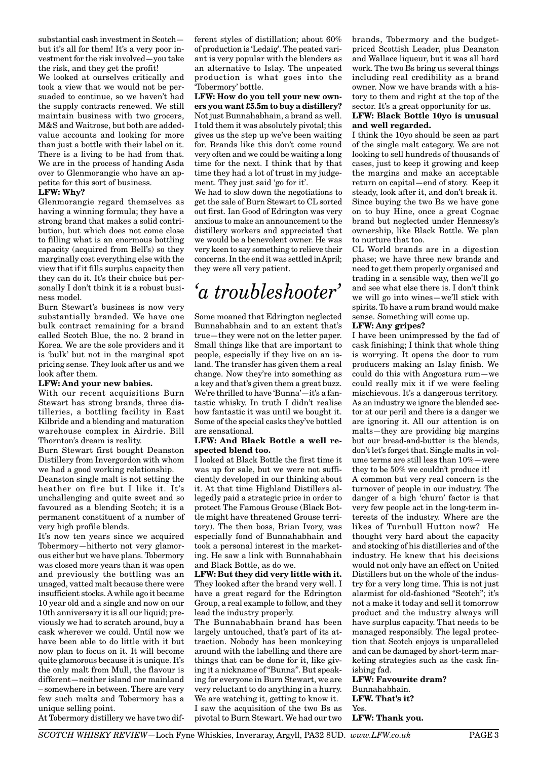substantial cash investment in Scotch but it's all for them! It's a very poor investment for the risk involved—you take the risk, and they get the profit!

We looked at ourselves critically and took a view that we would not be persuaded to continue, so we haven't had the supply contracts renewed. We still maintain business with two grocers, M&S and Waitrose, but both are addedvalue accounts and looking for more than just a bottle with their label on it. There is a living to be had from that. We are in the process of handing Asda over to Glenmorangie who have an appetite for this sort of business.

#### **LFW: Why?**

Glenmorangie regard themselves as having a winning formula; they have a strong brand that makes a solid contribution, but which does not come close to filling what is an enormous bottling capacity (acquired from Bell's) so they marginally cost everything else with the view that if it fills surplus capacity then they can do it. It's their choice but personally I don't think it is a robust business model.

Burn Stewart's business is now very substantially branded. We have one bulk contract remaining for a brand called Scotch Blue, the no. 2 brand in Korea. We are the sole providers and it is 'bulk' but not in the marginal spot pricing sense. They look after us and we look after them.

#### **LFW: And your new babies.**

With our recent acquisitions Burn Stewart has strong brands, three distilleries, a bottling facility in East Kilbride and a blending and maturation warehouse complex in Airdrie. Bill Thornton's dream is reality.

Burn Stewart first bought Deanston Distillery from Invergordon with whom we had a good working relationship.

Deanston single malt is not setting the heather on fire but I like it. It's unchallenging and quite sweet and so favoured as a blending Scotch; it is a permanent constituent of a number of very high profile blends.

It's now ten years since we acquired Tobermory—hitherto not very glamorous either but we have plans. Tobermory was closed more years than it was open and previously the bottling was an unaged, vatted malt because there were insufficient stocks. A while ago it became 10 year old and a single and now on our 10th anniversary it is all our liquid; previously we had to scratch around, buy a cask wherever we could. Until now we have been able to do little with it but now plan to focus on it. It will become quite glamorous because it is unique. It's the only malt from Mull, the flavour is different—neither island nor mainland – somewhere in between. There are very few such malts and Tobermory has a unique selling point.

At Tobermory distillery we have two dif-

ferent styles of distillation; about 60% of production is 'Ledaig'. The peated variant is very popular with the blenders as an alternative to Islay. The unpeated production is what goes into the 'Tobermory' bottle.

**LFW: How do you tell your new owners you want £5.5m to buy a distillery?** Not just Bunnahabhain, a brand as well. I told them it was absolutely pivotal; this gives us the step up we've been waiting for. Brands like this don't come round very often and we could be waiting a long time for the next. I think that by that time they had a lot of trust in my judgement. They just said 'go for it'.

We had to slow down the negotiations to get the sale of Burn Stewart to CL sorted out first. Ian Good of Edrington was very anxious to make an announcement to the distillery workers and appreciated that we would be a benevolent owner. He was very keen to say something to relieve their concerns. In the end it was settled in April; they were all very patient.

## *'a troubleshooter'*

Some moaned that Edrington neglected Bunnahabhain and to an extent that's true—they were not on the letter paper. Small things like that are important to people, especially if they live on an island. The transfer has given them a real change. Now they're into something as a key and that's given them a great buzz. We're thrilled to have 'Bunna'—it's a fantastic whisky. In truth I didn't realise how fantastic it was until we bought it. Some of the special casks they've bottled are sensational.

#### **LFW: And Black Bottle a well respected blend too.**

I looked at Black Bottle the first time it was up for sale, but we were not sufficiently developed in our thinking about it. At that time Highland Distillers allegedly paid a strategic price in order to protect The Famous Grouse (Black Bottle might have threatened Grouse territory). The then boss, Brian Ivory, was especially fond of Bunnahabhain and took a personal interest in the marketing. He saw a link with Bunnahabhain and Black Bottle, as do we.

**LFW: But they did very little with it.** They looked after the brand very well. I have a great regard for the Edrington Group, a real example to follow, and they lead the industry properly.

The Bunnahabhain brand has been largely untouched, that's part of its attraction. Nobody has been monkeying around with the labelling and there are things that can be done for it, like giving it a nickname of "Bunna". But speaking for everyone in Burn Stewart, we are very reluctant to do anything in a hurry. We are watching it, getting to know it. I saw the acquisition of the two Bs as pivotal to Burn Stewart. We had our two

brands, Tobermory and the budgetpriced Scottish Leader, plus Deanston and Wallace liqueur, but it was all hard work. The two Bs bring us several things including real credibility as a brand owner. Now we have brands with a history to them and right at the top of the sector. It's a great opportunity for us.

#### **LFW: Black Bottle 10yo is unusual and well regarded.**

I think the 10yo should be seen as part of the single malt category. We are not looking to sell hundreds of thousands of cases, just to keep it growing and keep the margins and make an acceptable return on capital—end of story. Keep it steady, look after it, and don't break it. Since buying the two Bs we have gone on to buy Hine, once a great Cognac brand but neglected under Hennessy's ownership, like Black Bottle. We plan to nurture that too.

CL World brands are in a digestion phase; we have three new brands and need to get them properly organised and trading in a sensible way, then we'll go and see what else there is. I don't think we will go into wines—we'll stick with spirits. To have a rum brand would make sense. Something will come up.

#### **LFW: Any gripes?**

I have been unimpressed by the fad of cask finishing; I think that whole thing is worrying. It opens the door to rum producers making an Islay finish. We could do this with Angostura rum—we could really mix it if we were feeling mischievous. It's a dangerous territory. As an industry we ignore the blended sector at our peril and there is a danger we are ignoring it. All our attention is on malts—they are providing big margins but our bread-and-butter is the blends, don't let's forget that. Single malts in volume terms are still less than 10%—were they to be 50% we couldn't produce it!

A common but very real concern is the turnover of people in our industry. The danger of a high 'churn' factor is that very few people act in the long-term interests of the industry. Where are the likes of Turnbull Hutton now? He thought very hard about the capacity and stocking of his distilleries and of the industry. He knew that his decisions would not only have an effect on United Distillers but on the whole of the industry for a very long time. This is not just alarmist for old-fashioned "Scotch"; it's not a make it today and sell it tomorrow product and the industry always will have surplus capacity. That needs to be managed responsibly. The legal protection that Scotch enjoys is unparalleled and can be damaged by short-term marketing strategies such as the cask finishing fad.

**LFW: Favourite dram?** Bunnahabhain. **LFW. That's it?** Yes. **LFW: Thank you.**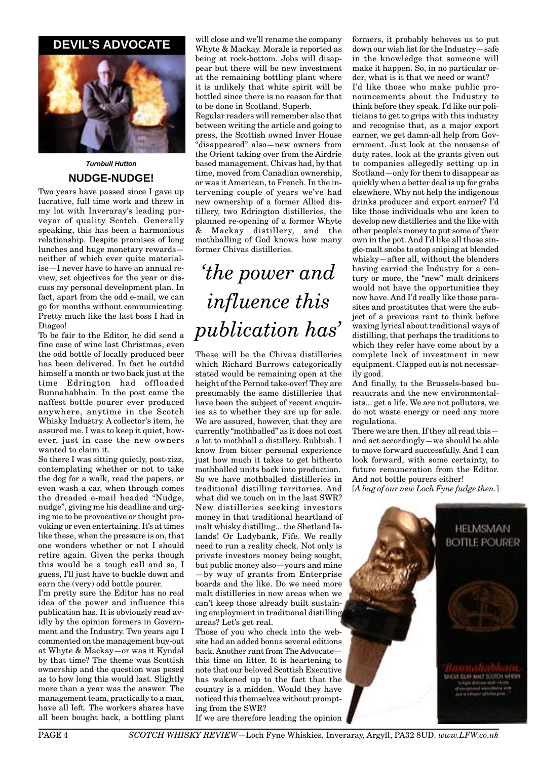#### **DEVIL'S ADVOCATE**



#### **Turnbull Hutton NUDGE-NUDGE!**

Two years have passed since I gave up lucrative, full time work and threw in my lot with Inveraray's leading purveyor of quality Scotch. Generally speaking, this has been a harmonious relationship. Despite promises of long lunches and huge monetary rewards neither of which ever quite materialise—I never have to have an annual review, set objectives for the year or discuss my personal development plan. In fact, apart from the odd e-mail, we can go for months without communicating. Pretty much like the last boss I had in Diageo!

To be fair to the Editor, he did send a fine case of wine last Christmas, even the odd bottle of locally produced beer has been delivered. In fact he outdid himself a month or two back just at the time Edrington had offloaded Bunnahabhain. In the post came the naffest bottle pourer ever produced anywhere, anytime in the Scotch Whisky Industry. A collector's item, he assured me. I was to keep it quiet, however, just in case the new owners wanted to claim it.

So there I was sitting quietly, post-zizz, contemplating whether or not to take the dog for a walk, read the papers, or even wash a car, when through comes the dreaded e-mail headed "Nudge, nudge", giving me his deadline and urging me to be provocative or thought provoking or even entertaining. It's at times like these, when the pressure is on, that one wonders whether or not I should retire again. Given the perks though this would be a tough call and so, I guess, I'll just have to buckle down and earn the (very) odd bottle pourer.

I'm pretty sure the Editor has no real idea of the power and influence this publication has. It is obviously read avidly by the opinion formers in Government and the Industry. Two years ago I commented on the management buy-out at Whyte & Mackay—or was it Kyndal by that time? The theme was Scottish ownership and the question was posed as to how long this would last. Slightly more than a year was the answer. The management team, practically to a man, have all left. The workers shares have all been bought back, a bottling plant will close and we'll rename the company Whyte & Mackay. Morale is reported as being at rock-bottom. Jobs will disappear but there will be new investment at the remaining bottling plant where it is unlikely that white spirit will be bottled since there is no reason for that to be done in Scotland. Superb.

Regular readers will remember also that between writing the article and going to press, the Scottish owned Inver House "disappeared" also—new owners from the Orient taking over from the Airdrie based management. Chivas had, by that time, moved from Canadian ownership, or was it American, to French. In the intervening couple of years we've had new ownership of a former Allied distillery, two Edrington distilleries, the planned re-opening of a former Whyte & Mackay distillery, and the mothballing of God knows how many former Chivas distilleries.

# *'the power and influence this publication has'*

These will be the Chivas distilleries which Richard Burrows categorically stated would be remaining open at the height of the Pernod take-over! They are presumably the same distilleries that have been the subject of recent enquiries as to whether they are up for sale. We are assured, however, that they are currently "mothballed" as it does not cost a lot to mothball a distillery. Rubbish. I know from bitter personal experience just how much it takes to get hitherto mothballed units back into production. So we have mothballed distilleries in traditional distilling territories. And what did we touch on in the last SWR? New distilleries seeking investors money in that traditional heartland of malt whisky distilling... the Shetland Islands! Or Ladybank, Fife. We really need to run a reality check. Not only is private investors money being sought, but public money also—yours and mine —by way of grants from Enterprise boards and the like. Do we need more malt distilleries in new areas when we can't keep those already built sustaining employment in traditional distilling areas? Let's get real.

Those of you who check into the website had an added bonus several editions back. Another rant from The Advocate this time on litter. It is heartening to note that our beloved Scottish Executive has wakened up to the fact that the country is a midden. Would they have noticed this themselves without prompting from the SWR?

If we are therefore leading the opinion

formers, it probably behoves us to put down our wish list for the Industry—safe in the knowledge that someone will make it happen. So, in no particular order, what is it that we need or want?

I'd like those who make public pronouncements about the Industry to think before they speak. I'd like our politicians to get to grips with this industry and recognise that, as a major export earner, we get damn-all help from Government. Just look at the nonsense of duty rates, look at the grants given out to companies allegedly setting up in Scotland—only for them to disappear as quickly when a better deal is up for grabs elsewhere. Why not help the indigenous drinks producer and export earner? I'd like those individuals who are keen to develop new distilleries and the like with other people's money to put some of their own in the pot. And I'd like all those single-malt snobs to stop sniping at blended whisky—after all, without the blenders having carried the Industry for a century or more, the "new" malt drinkers would not have the opportunities they now have. And I'd really like those parasites and prostitutes that were the subject of a previous rant to think before waxing lyrical about traditional ways of distilling, that perhaps the traditions to which they refer have come about by a complete lack of investment in new equipment. Clapped out is not necessarily good.

And finally, to the Brussels-based bureaucrats and the new environmentalists... get a life. We are not polluters, we do not waste energy or need any more regulations.

There we are then. If they all read this and act accordingly—we should be able to move forward successfully. And I can look forward, with some certainty, to future remuneration from the Editor. And not bottle pourers either!

[*A bag of our new Loch Fyne fudge then.*]

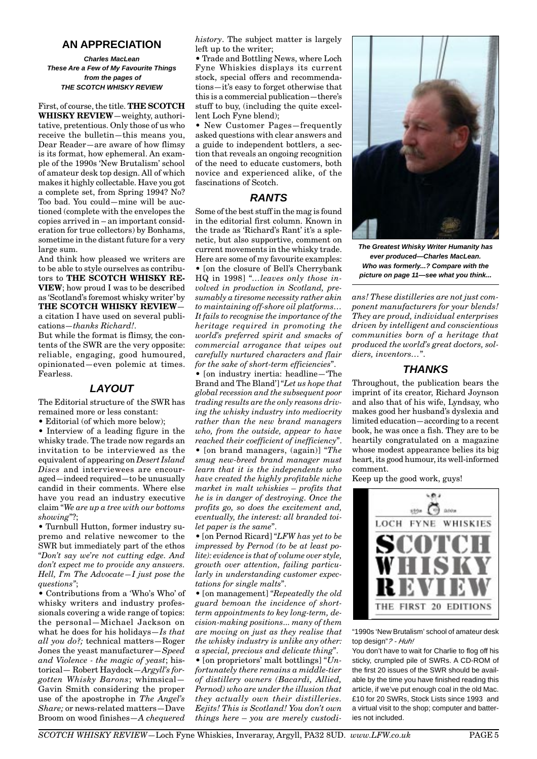#### **AN APPRECIATION**

**Charles MacLean These Are a Few of My Favourite Things from the pages of THE SCOTCH WHISKY REVIEW**

First, of course, the title. **THE SCOTCH WHISKY REVIEW**—weighty, authoritative, pretentious. Only those of us who receive the bulletin—this means you, Dear Reader—are aware of how flimsy is its format, how ephemeral. An example of the 1990s 'New Brutalism' school of amateur desk top design. All of which makes it highly collectable. Have you got a complete set, from Spring 1994? No? Too bad. You could—mine will be auctioned (complete with the envelopes the copies arrived in – an important consideration for true collectors) by Bonhams, sometime in the distant future for a very large sum.

And think how pleased we writers are to be able to style ourselves as contributors to **THE SCOTCH WHISKY RE-VIEW**; how proud I was to be described as 'Scotland's foremost whisky writer' by **THE SCOTCH WHISKY REVIEW** a citation I have used on several publications—*thanks Richard!*.

But while the format is flimsy, the contents of the SWR are the very opposite: reliable, engaging, good humoured, opinionated—even polemic at times. Fearless.

#### **LAYOUT**

The Editorial structure of the SWR has remained more or less constant:

• Editorial (of which more below); • Interview of a leading figure in the whisky trade. The trade now regards an invitation to be interviewed as the equivalent of appearing on *Desert Island Discs* and interviewees are encouraged—indeed required—to be unusually candid in their comments. Where else have you read an industry executive claim "*We are up a tree with our bottoms showing*"?;

• Turnbull Hutton, former industry supremo and relative newcomer to the SWR but immediately part of the ethos "*Don't say we're not cutting edge. And don't expect me to provide any answers. Hell, I'm The Advocate—I just pose the questions"*;

• Contributions from a 'Who's Who' of whisky writers and industry professionals covering a wide range of topics: the personal—Michael Jackson on what he does for his holidays—*Is that all you do?;* technical matters—Roger Jones the yeast manufacturer—*Speed and Violence - the magic of yeast*; historical— Robert Haydock—*Argyll's forgotten Whisky Barons*; whimsical— Gavin Smith considering the proper use of the apostrophe in *The Angel's Share;* or news-related matters—Dave Broom on wood finishes—*A chequered* *history*. The subject matter is largely left up to the writer;

• Trade and Bottling News, where Loch Fyne Whiskies displays its current stock, special offers and recommendations—it's easy to forget otherwise that this is a commercial publication—there's stuff to buy, (including the quite excellent Loch Fyne blend);

• New Customer Pages—frequently asked questions with clear answers and a guide to independent bottlers, a section that reveals an ongoing recognition of the need to educate customers, both novice and experienced alike, of the fascinations of Scotch.

#### **RANTS**

Some of the best stuff in the mag is found in the editorial first column. Known in the trade as 'Richard's Rant' it's a splenetic, but also supportive, comment on current movements in the whisky trade. Here are some of my favourite examples: • [on the closure of Bell's Cherrybank HQ in 1998] "*…leaves only those involved in production in Scotland, presumably a tiresome necessity rather akin to maintaining off-shore oil platforms… It fails to recognise the importance of the heritage required in promoting the world's preferred spirit and smacks of commercial arrogance that wipes out carefully nurtured characters and flair for the sake of short-term efficiencies*".

• [on industry inertia: headline—'The Brand and The Bland'] "*Let us hope that global recession and the subsequent poor trading results are the only reasons driving the whisky industry into mediocrity rather than the new brand managers who, from the outside, appear to have reached their coefficient of inefficiency*". • [on brand managers, (again)] "*The smug new-breed brand manager must learn that it is the independents who have created the highly profitable niche market in malt whiskies – profits that he is in danger of destroying. Once the profits go, so does the excitement and, eventually, the interest: all branded toilet paper is the same*".

• [on Pernod Ricard] "*LFW has yet to be impressed by Pernod (to be at least polite): evidence is that of volume over style, growth over attention, failing particularly in understanding customer expectations for single malts*".

• [on management] "*Repeatedly the old guard bemoan the incidence of shortterm appointments to key long-term, decision-making positions... many of them are moving on just as they realise that the whisky industry is unlike any other: a special, precious and delicate thing*".

• [on proprietors' malt bottlings] "*Unfortunately there remains a middle-tier of distillery owners (Bacardi, Allied, Pernod) who are under the illusion that they actually own their distilleries. Eejits! This is Scotland! You don't own things here – you are merely custodi-*



**The Greatest Whisky Writer Humanity has ever produced—Charles MacLean. Who was formerly...? Compare with the picture on page 11—see what you think...**

*ans! These distilleries are not just component manufacturers for your blends! They are proud, individual enterprises driven by intelligent and conscientious communities born of a heritage that produced the world's great doctors, soldiers, inventors…*".

#### **THANKS**

Throughout, the publication bears the imprint of its creator, Richard Joynson and also that of his wife, Lyndsay, who makes good her husband's dyslexia and limited education—according to a recent book, he was once a fish. They are to be heartily congratulated on a magazine whose modest appearance belies its big heart, its good humour, its well-informed comment.

Keep up the good work, guys!



"1990s 'New Brutalism' school of amateur desk top design"? - Huh!

You don't have to wait for Charlie to flog off his sticky, crumpled pile of SWRs. A CD-ROM of the first 20 issues of the SWR should be available by the time you have finished reading this article, if we've put enough coal in the old Mac. £10 for 20 SWRs, Stock Lists since 1993 and a virtual visit to the shop; computer and batteries not included.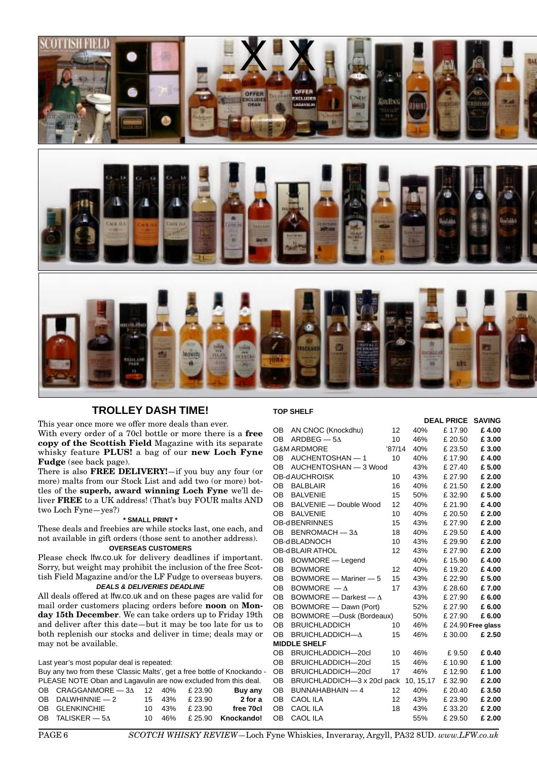





#### **TROLLEY DASH TIME!**

This year once more we offer more deals than ever.

With every order of a 70cl bottle or more there is a **free copy of the Scottish Field** Magazine with its separate whisky feature **PLUS!** a bag of our **new Loch Fyne Fudge** (see back page).

There is also **FREE DELIVERY!**—if you buy any four (or more) malts from our Stock List and add two (or more) bottles of the **superb, award winning Loch Fyne** we'll deliver **FREE** to a UK address! (That's buy FOUR malts AND two Loch Fyne—yes?)

#### **\* SMALL PRINT \***

These deals and freebies are while stocks last, one each, and not available in gift orders (those sent to another address).

#### **OVERSEAS CUSTOMERS**

Please check lfw.co.uk for delivery deadlines if important. Sorry, but weight may prohibit the inclusion of the free Scottish Field Magazine and/or the LF Fudge to overseas buyers.

#### **DEALS & DELIVERIES DEADLINE**

All deals offered at lfw.co.uk and on these pages are valid for mail order customers placing orders before **noon** on **Monday 15th December**. We can take orders up to Friday 19th and deliver after this date—but it may be too late for us to both replenish our stocks and deliver in time; deals may or may not be available.

Last year's most popular deal is repeated:

Buy any two from these 'Classic Malts', get a free bottle of Knockando - PLEASE NOTE Oban and Lagavulin are now excluded from this deal. OB CRAGGANMORE — 3∆ 12 40% £ 23.90 **Buy any**<br>OB DALWHINNIE — 2 15 43% £ 23.90 **2 for a** OB DALWHINNIE — 2 15 43% £ 23.90 **2 for a** OB GLENKINCHIE 10 43% £ 23.90 **free 70cl** OB TALISKER — 5∆ 10 46% £ 25.90 **Knockando!**

#### **TOP SHELF**

|    |                                       |                 |     | <b>DEAL PRICE</b> | <b>SAVING</b>      |
|----|---------------------------------------|-----------------|-----|-------------------|--------------------|
| OВ | AN CNOC (Knockdhu)                    | 12 <sup>°</sup> | 40% | £17.90            | £4.00              |
| OВ | ARDBEG $-5\Delta$                     | 10              | 46% | £ 20.50           | £3.00              |
|    | <b>G&amp;M ARDMORE</b>                | '87/14          | 40% | £ 23.50           | £3.00              |
| OВ | AUCHENTOSHAN - 1                      | 10              | 40% | £17.90            | £4.00              |
| OВ | AUCHENTOSHAN - 3 Wood                 |                 | 43% | £ 27.40           | £5.00              |
|    | OB-dAUCHROISK                         | 10              | 43% | £ 27.90           | £ 2.00             |
| OВ | <b>BALBLAIR</b>                       | 16              | 40% | £ 21.50           | £ 2.00             |
| OВ | <b>BALVENIE</b>                       | 15              | 50% | £32.90            | £5.00              |
| OВ | BALVENIE - Double Wood                | 12              | 40% | £ 21.90           | £4.00              |
| OВ | <b>BALVENIE</b>                       | 10              | 40% | £ 20.50           | £ 2.00             |
|    | OB-d BENRINNES                        | 15              | 43% | £ 27.90           | £ 2.00             |
| OВ | $BENROMACH - 3\Delta$                 | 18              | 40% | £ 29.50           | £4.00              |
|    | OB-dBLADNOCH                          | 10              | 43% | £ 29.90           | £ 2.00             |
|    | OB-dBLAIR ATHOL                       | 12              | 43% | £ 27.90           | £ 2.00             |
| OВ | <b>BOWMORE</b> - Legend               |                 | 40% | £15.90            | £4.00              |
| OВ | <b>BOWMORE</b>                        | 12              | 40% | £19.20            | £4.00              |
| OВ | BOWMORE - Mariner - 5                 | 15              | 43% | £ 22.90           | £5.00              |
| OВ | BOWMORE $-\Delta$                     | 17              | 43% | £ 28.60           | £7.00              |
| OВ | BOWMORE - Darkest $-\Delta$           |                 | 43% | £ 27.90           | £6.00              |
| OВ | BOWMORE - Dawn (Port)                 |                 | 52% | £ 27.90           | £6.00              |
| OВ | <b>BOWMORE</b> - Dusk (Bordeaux)      |                 | 50% | £ 27.90           | £6.00              |
| OВ | <b>BRUICHLADDICH</b>                  | 10              | 46% |                   | £ 24.90 Free glass |
| OВ | BRUICHLADDICH-A                       | 15              | 46% | £30.00            | £ 2.50             |
|    | <b>MIDDLE SHELF</b>                   |                 |     |                   |                    |
| OВ | BRUICHLADDICH-20cl                    | 10              | 46% | £9.50             | £0.40              |
| OВ | BRUICHLADDICH-20cl                    | 15              | 46% | £10.90            | £1.00              |
| OВ | BRUICHLADDICH-20cl                    | 17              | 46% | £12.90            | £1.00              |
| OВ | BRUICHLADDICH-3 x 20cl pack 10, 15,17 |                 |     | £32.90            | £ 2.00             |
| OВ | BUNNAHABHAIN - 4                      | 12              | 40% | £ 20.40           | £3.50              |
| OВ | <b>CAOL ILA</b>                       | 12              | 43% | £ 23.90           | £ 2.00             |
| OВ | <b>CAOL ILA</b>                       | 18              | 43% | £33.20            | £ 2.00             |
| OВ | <b>CAOL ILA</b>                       |                 | 55% | £29.50            | £ 2.00             |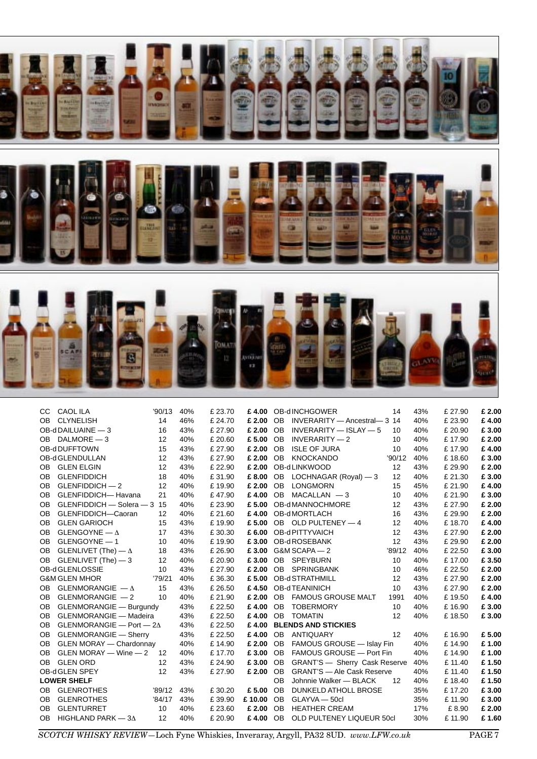

| CC.                                          | <b>CAOL ILA</b>                | '90/13 | 40%     | £ 23.70 |                                     | £4.00 OB-dINCHGOWER                               | 14     | 43%    | £ 27.90 | £ 2.00 |
|----------------------------------------------|--------------------------------|--------|---------|---------|-------------------------------------|---------------------------------------------------|--------|--------|---------|--------|
| <b>OB</b>                                    | <b>CLYNELISH</b>               | 14     | 46%     | £ 24.70 | £ 2.00                              | <b>OB</b><br>INVERARITY - Ancestral-3 14          |        | 40%    | £ 23.90 | £4.00  |
|                                              | OB-dDAILUAINE - 3              | 16     | 43%     | £ 27.90 | £ 2.00                              | <b>OB</b><br>$INVERARITY - ISLAY - 5$             | 10     | 40%    | £ 20.90 | £3.00  |
| OB.                                          | $DALMORE - 3$                  | 12     | 40%     | £ 20.60 | £ 5.00                              | <b>OB</b><br>$INVERARITY - 2$                     | 10     | 40%    | £17.90  | £ 2.00 |
| OB-dDUFFTOWN<br>15                           |                                | 43%    | £ 27.90 | £ 2.00  | <b>OB</b><br><b>ISLE OF JURA</b>    | 10                                                | 40%    | £17.90 | £4.00   |        |
| OB-d GLENDULLAN<br>12                        |                                | 43%    | £ 27.90 | £ 2.00  | <b>OB</b><br><b>KNOCKANDO</b>       | '90/12                                            | 40%    | £18.60 | £3.00   |        |
| <b>OB</b>                                    | <b>GLEN ELGIN</b>              | 12     | 43%     | £ 22.90 | £ 2.00                              | OB-dLINKWOOD                                      | 12     | 43%    | £ 29.90 | £ 2.00 |
| <b>OB</b>                                    | <b>GLENFIDDICH</b>             | 18     | 40%     | £31.90  | £ 8.00                              | OB LOCHNAGAR (Royal) - 3                          | 12     | 40%    | £ 21.30 | £3.00  |
| <b>OB</b>                                    | GLENFIDDICH-2                  | 12     | 40%     | £19.90  | £ 2.00                              | <b>OB</b><br><b>LONGMORN</b>                      | 15     | 45%    | £ 21.90 | £4.00  |
| <b>OB</b>                                    | <b>GLENFIDDICH-</b> Havana     | 21     | 40%     | £47.90  | £4.00                               | <b>OB</b><br>$MACALLAN - 3$                       | 10     | 40%    | £ 21.90 | £3.00  |
| <b>OB</b>                                    | GLENFIDDICH - Solera - 3 15    |        | 40%     | £23.90  | £ 5.00                              | OB-dMANNOCHMORE                                   | 12     | 43%    | £ 27.90 | £ 2.00 |
| <b>OB</b>                                    | GLENFIDDICH-Caoran             | 12     | 40%     | £ 21.60 | £4.00                               | OB-dMORTLACH                                      | 16     | 43%    | £ 29.90 | £ 2.00 |
| <b>OB</b>                                    | <b>GLEN GARIOCH</b>            | 15     | 43%     | £19.90  | £ 5.00                              | OB OLD PULTENEY - 4                               | 12     | 40%    | £18.70  | £4.00  |
| <b>OB</b>                                    | GLENGOYNE $-\Delta$            | 17     | 43%     | £30.30  | £ 6.00                              | OB-dPITTYVAICH                                    | 12     | 43%    | £ 27.90 | £ 2.00 |
| <b>OB</b>                                    | GLENGOYNE - 1                  | 10     | 40%     | £19.90  | £3.00                               | OB-dROSEBANK                                      | 12     | 43%    | £ 29.90 | £ 2.00 |
| <b>OB</b>                                    | GLENLIVET (The) $-\Delta$      | 18     | 43%     | £26.90  | £ 3.00                              | G&M SCAPA-2                                       | '89/12 | 40%    | £ 22.50 | £3.00  |
| <b>OB</b>                                    | GLENLIVET (The) - 3            | 12     | 40%     | £ 20.90 | £3.00                               | <b>SPEYBURN</b><br><b>OB</b>                      | 10     | 40%    | £17.00  | £3.50  |
|                                              | OB-dGLENLOSSIE                 | 10     | 43%     | £ 27.90 | £ 2.00                              | <b>OB</b><br><b>SPRINGBANK</b>                    | 10     | 46%    | £ 22.50 | £ 2.00 |
|                                              | <b>G&amp;M GLEN MHOR</b>       | '79/21 | 40%     | £36.30  | £ 5.00                              | OB-dSTRATHMILL                                    | 12     | 43%    | £ 27.90 | £ 2.00 |
| <b>OB</b>                                    | GLENMORANGIE $-\Delta$         | 15     | 43%     | £26.50  | £4.50                               | OB-dTEANINICH                                     | 10     | 43%    | £ 27.90 | £ 2.00 |
| <b>OB</b>                                    | GLENMORANGIE - 2               | 10     | 40%     | £ 21.90 | £ 2.00                              | OB.<br><b>FAMOUS GROUSE MALT</b>                  | 1991   | 40%    | £19.50  | £4.00  |
| <b>GLENMORANGIE - Burgundy</b><br><b>OB</b>  |                                | 43%    | £22.50  | £4.00   | <b>OB</b><br><b>TOBERMORY</b>       | 10                                                | 40%    | £16.90 | £3.00   |        |
| <b>OB</b>                                    | <b>GLENMORANGIE - Madeira</b>  |        | 43%     | £ 22.50 | £4.00                               | <b>OB</b><br><b>TOMATIN</b>                       | 12     | 40%    | £18.50  | £3.00  |
| $GLENMORANGLE - Port - 2\Delta$<br><b>OB</b> |                                |        | 43%     | £22.50  | £4.00                               | <b>BLENDS AND STICKIES</b>                        |        |        |         |        |
| <b>OB</b>                                    | <b>GLENMORANGIE - Sherry</b>   |        | 43%     | £ 22.50 | £4.00                               | <b>OB</b><br><b>ANTIQUARY</b>                     | 12     | 40%    | £16.90  | £5.00  |
| <b>OB</b>                                    | <b>GLEN MORAY - Chardonnay</b> |        | 40%     | £14.90  | £ 2.00                              | FAMOUS GROUSE - Islay Fin<br><b>OB</b>            |        | 40%    | £14.90  | £1.00  |
| <b>OB</b>                                    | GLEN MORAY — Wine — 2          | 12     | 40%     | £17.70  | £3.00                               | FAMOUS GROUSE - Port Fin<br><b>OB</b>             |        | 40%    | £14.90  | £1.00  |
| <b>OB</b>                                    | <b>GLEN ORD</b>                | 12     | 43%     | £ 24.90 | £3.00                               | <b>GRANT'S - Sherry Cask Reserve</b><br><b>OB</b> |        | 40%    | £11.40  | £1.50  |
|                                              | OB-dGLEN SPEY                  | 12     | 43%     | £ 27.90 | £ 2.00                              | <b>GRANT'S</b> - Ale Cask Reserve<br><b>OB</b>    |        | 40%    | £11.40  | £1.50  |
| <b>LOWER SHELF</b>                           |                                |        |         |         | <b>OB</b><br>Johnnie Walker - BLACK | 12                                                | 40%    | £18.40 | £1.50   |        |
| <b>OB</b>                                    | <b>GLENROTHES</b>              | '89/12 | 43%     | £30.20  | £ 5.00                              | <b>OB</b><br><b>DUNKELD ATHOLL BROSE</b>          |        | 35%    | £17.20  | £3.00  |
| <b>OB</b>                                    | <b>GLENROTHES</b>              | '84/17 | 43%     | £39.90  | £10.00                              | <b>OB</b><br>GLAYVA - 50cl                        |        | 35%    | £11.90  | £3.00  |
| <b>OB</b>                                    | <b>GLENTURRET</b>              | 10     | 40%     | £23.60  | £ 2.00                              | <b>HEATHER CREAM</b><br><b>OB</b>                 |        | 17%    | £8.90   | £ 2.00 |
| <b>OB</b>                                    | HIGHLAND PARK $- 3\Delta$      | 12     | 40%     | £ 20.90 | £4.00 OB                            | OLD PULTENEY LIQUEUR 50cl                         |        | 30%    | £11.90  | £1.60  |
|                                              |                                |        |         |         |                                     |                                                   |        |        |         |        |

*SCOTCH WHISKY REVIEW*—Loch Fyne Whiskies, Inveraray, Argyll, PA32 8UD. *www.LFW.co.uk* PAGE 7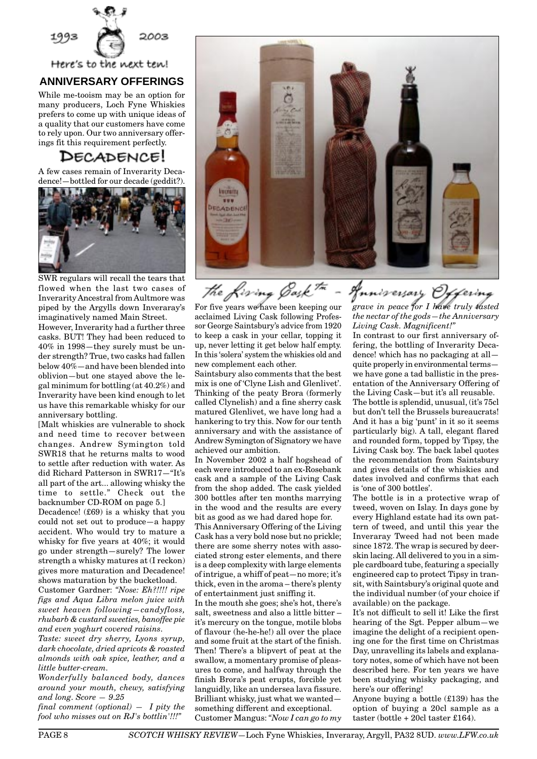

#### **ANNIVERSARY OFFERINGS**

While me-tooism may be an option for many producers, Loch Fyne Whiskies prefers to come up with unique ideas of a quality that our customers have come to rely upon. Our two anniversary offerings fit this requirement perfectly.

DECADENCE!

A few cases remain of Inverarity Decadence!—bottled for our decade (geddit?).



SWR regulars will recall the tears that flowed when the last two cases of Inverarity Ancestral from Aultmore was piped by the Argylls down Inveraray's imaginatively named Main Street.

However, Inverarity had a further three casks. BUT! They had been reduced to 40% in 1998—they surely must be under strength? True, two casks had fallen below 40%—and have been blended into oblivion—but one stayed above the legal minimum for bottling (at 40.2%) and Inverarity have been kind enough to let us have this remarkable whisky for our anniversary bottling.

[Malt whiskies are vulnerable to shock and need time to recover between changes. Andrew Symington told SWR18 that he returns malts to wood to settle after reduction with water. As did Richard Patterson in SWR17—"It's all part of the art... allowing whisky the time to settle." Check out the backnumber CD-ROM on page 5.]

Decadence! (£69) is a whisky that you could not set out to produce—a happy accident. Who would try to mature a whisky for five years at 40%; it would go under strength—surely? The lower strength a whisky matures at (I reckon) gives more maturation and Decadence! shows maturation by the bucketload.

Customer Gardner: *"Nose: Eh?!!!! ripe figs and Aqua Libra melon juice with sweet heaven following—candyfloss, rhubarb & custard sweeties, banoffee pie and even yoghurt covered raisins.*

*Taste: sweet dry sherry, Lyons syrup, dark chocolate, dried apricots & roasted almonds with oak spice, leather, and a little butter-cream.*

*Wonderfully balanced body, dances around your mouth, chewy, satisfying and long. Score — 9.25 final comment (optional) — I pity the*

*fool who misses out on RJ's bottlin'!!!"*



For five years we have been keeping our acclaimed Living Cask following Professor George Saintsbury's advice from 1920 to keep a cask in your cellar, topping it up, never letting it get below half empty. In this 'solera' system the whiskies old and new complement each other.

Saintsbury also comments that the best mix is one of 'Clyne Lish and Glenlivet'. Thinking of the peaty Brora (formerly called Clynelish) and a fine sherry cask matured Glenlivet, we have long had a hankering to try this. Now for our tenth anniversary and with the assistance of Andrew Symington of Signatory we have achieved our ambition.

In November 2002 a half hogshead of each were introduced to an ex-Rosebank cask and a sample of the Living Cask from the shop added. The cask yielded 300 bottles after ten months marrying in the wood and the results are every bit as good as we had dared hope for.

This Anniversary Offering of the Living Cask has a very bold nose but no prickle; there are some sherry notes with associated strong ester elements, and there is a deep complexity with large elements of intrigue, a whiff of peat—no more; it's thick, even in the aroma – there's plenty of entertainment just sniffing it.

In the mouth she goes; she's hot, there's salt, sweetness and also a little bitter – it's mercury on the tongue, motile blobs of flavour (he-he-he!) all over the place and some fruit at the start of the finish. Then! There's a blipvert of peat at the swallow, a momentary promise of pleasures to come, and halfway through the finish Brora's peat erupts, forcible yet languidly, like an undersea lava fissure. Brilliant whisky, just what we wanted something different and exceptional. Customer Mangus: *"Now I can go to my* *grave in peace for I have truly tasted the nectar of the gods—the Anniversary Living Cask. Magnificent!"*

In contrast to our first anniversary offering, the bottling of Inverarity Decadence! which has no packaging at all quite properly in environmental terms we have gone a tad ballistic in the presentation of the Anniversary Offering of the Living Cask—but it's all reusable. The bottle is splendid, unusual, (it's 75cl but don't tell the Brussels bureaucrats! And it has a big 'punt' in it so it seems particularly big). A tall, elegant flared and rounded form, topped by Tipsy, the Living Cask boy. The back label quotes the recommendation from Saintsbury and gives details of the whiskies and dates involved and confirms that each is 'one of 300 bottles'.

The bottle is in a protective wrap of tweed, woven on Islay. In days gone by every Highland estate had its own pattern of tweed, and until this year the Inveraray Tweed had not been made since 1872. The wrap is secured by deerskin lacing. All delivered to you in a simple cardboard tube, featuring a specially engineered cap to protect Tipsy in transit, with Saintsbury's original quote and the individual number (of your choice if available) on the package.

It's not difficult to sell it! Like the first hearing of the Sgt. Pepper album—we imagine the delight of a recipient opening one for the first time on Christmas Day, unravelling its labels and explanatory notes, some of which have not been described here. For ten years we have been studying whisky packaging, and here's our offering!

Anyone buying a bottle (£139) has the option of buying a 20cl sample as a taster (bottle + 20cl taster £164).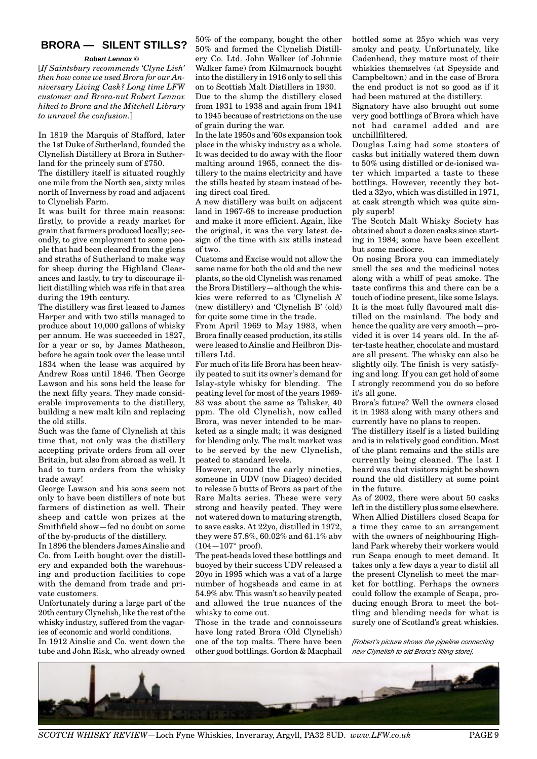#### **BRORA — SILENT STILLS?**

#### **Robert Lennox ©**

[*If Saintsbury recommends 'Clyne Lish' then how come we used Brora for our Anniversary Living Cask? Long time LFW customer and Brora-nut Robert Lennox hiked to Brora and the Mitchell Library to unravel the confusion.*]

In 1819 the Marquis of Stafford, later the 1st Duke of Sutherland, founded the Clynelish Distillery at Brora in Sutherland for the princely sum of £750.

The distillery itself is situated roughly one mile from the North sea, sixty miles north of Inverness by road and adjacent to Clynelish Farm.

It was built for three main reasons: firstly, to provide a ready market for grain that farmers produced locally; secondly, to give employment to some people that had been cleared from the glens and straths of Sutherland to make way for sheep during the Highland Clearances and lastly, to try to discourage illicit distilling which was rife in that area during the 19th century.

The distillery was first leased to James Harper and with two stills managed to produce about 10,000 gallons of whisky per annum. He was succeeded in 1827, for a year or so, by James Matheson, before he again took over the lease until 1834 when the lease was acquired by Andrew Ross until 1846. Then George Lawson and his sons held the lease for the next fifty years. They made considerable improvements to the distillery, building a new malt kiln and replacing the old stills.

Such was the fame of Clynelish at this time that, not only was the distillery accepting private orders from all over Britain, but also from abroad as well. It had to turn orders from the whisky trade away!

George Lawson and his sons seem not only to have been distillers of note but farmers of distinction as well. Their sheep and cattle won prizes at the Smithfield show—fed no doubt on some of the by-products of the distillery.

In 1896 the blenders James Ainslie and Co. from Leith bought over the distillery and expanded both the warehousing and production facilities to cope with the demand from trade and private customers.

Unfortunately during a large part of the 20th century Clynelish, like the rest of the whisky industry, suffered from the vagaries of economic and world conditions.

In 1912 Ainslie and Co. went down the tube and John Risk, who already owned 50% of the company, bought the other 50% and formed the Clynelish Distillery Co. Ltd. John Walker (of Johnnie Walker fame) from Kilmarnock bought into the distillery in 1916 only to sell this on to Scottish Malt Distillers in 1930. Due to the slump the distillery closed from 1931 to 1938 and again from 1941 to 1945 because of restrictions on the use of grain during the war.

In the late 1950s and '60s expansion took place in the whisky industry as a whole. It was decided to do away with the floor malting around 1965, connect the distillery to the mains electricity and have the stills heated by steam instead of being direct coal fired.

A new distillery was built on adjacent land in 1967-68 to increase production and make it more efficient. Again, like the original, it was the very latest design of the time with six stills instead of two.

Customs and Excise would not allow the same name for both the old and the new plants, so the old Clynelish was renamed the Brora Distillery—although the whiskies were referred to as 'Clynelish A' (new distillery) and 'Clynelish B' (old) for quite some time in the trade.

From April 1969 to May 1983, when Brora finally ceased production, its stills were leased to Ainslie and Heilbron Distillers Ltd.

For much of its life Brora has been heavily peated to suit its owner's demand for Islay-style whisky for blending. The peating level for most of the years 1969- 83 was about the same as Talisker, 40 ppm. The old Clynelish, now called Brora, was never intended to be marketed as a single malt; it was designed for blending only. The malt market was to be served by the new Clynelish, peated to standard levels.

However, around the early nineties, someone in UDV (now Diageo) decided to release 5 butts of Brora as part of the Rare Malts series. These were very strong and heavily peated. They were not watered down to maturing strength, to save casks. At 22yo, distilled in 1972, they were 57.8%, 60.02% and 61.1% abv (104—107° proof).

The peat-heads loved these bottlings and buoyed by their success UDV released a 20yo in 1995 which was a vat of a large number of hogsheads and came in at 54.9% abv. This wasn't so heavily peated and allowed the true nuances of the whisky to come out.

Those in the trade and connoisseurs have long rated Brora (Old Clynelish) one of the top malts. There have been other good bottlings. Gordon & Macphail bottled some at 25yo which was very smoky and peaty. Unfortunately, like Cadenhead, they mature most of their whiskies themselves (at Speyside and Campbeltown) and in the case of Brora the end product is not so good as if it had been matured at the distillery.

Signatory have also brought out some very good bottlings of Brora which have not had caramel added and are unchillfiltered.

Douglas Laing had some stoaters of casks but initially watered them down to 50% using distilled or de-ionised water which imparted a taste to these bottlings. However, recently they bottled a 32yo, which was distilled in 1971, at cask strength which was quite simply superb!

The Scotch Malt Whisky Society has obtained about a dozen casks since starting in 1984; some have been excellent but some mediocre.

On nosing Brora you can immediately smell the sea and the medicinal notes along with a whiff of peat smoke. The taste confirms this and there can be a touch of iodine present, like some Islays. It is the most fully flavoured malt distilled on the mainland. The body and hence the quality are very smooth—provided it is over 14 years old. In the after-taste heather, chocolate and mustard are all present. The whisky can also be slightly oily. The finish is very satisfying and long. If you can get hold of some I strongly recommend you do so before it's all gone.

Brora's future? Well the owners closed it in 1983 along with many others and currently have no plans to reopen.

The distillery itself is a listed building and is in relatively good condition. Most of the plant remains and the stills are currently being cleaned. The last I heard was that visitors might be shown round the old distillery at some point in the future.

As of 2002, there were about 50 casks left in the distillery plus some elsewhere. When Allied Distillers closed Scapa for a time they came to an arrangement with the owners of neighbouring Highland Park whereby their workers would run Scapa enough to meet demand. It takes only a few days a year to distil all the present Clynelish to meet the market for bottling. Perhaps the owners could follow the example of Scapa, producing enough Brora to meet the bottling and blending needs for what is surely one of Scotland's great whiskies.

[Robert's picture shows the pipeline connecting new Clynelish to old Brora's filling store].



*SCOTCH WHISKY REVIEW*—Loch Fyne Whiskies, Inveraray, Argyll, PA32 8UD. *www.LFW.co.uk* PAGE 9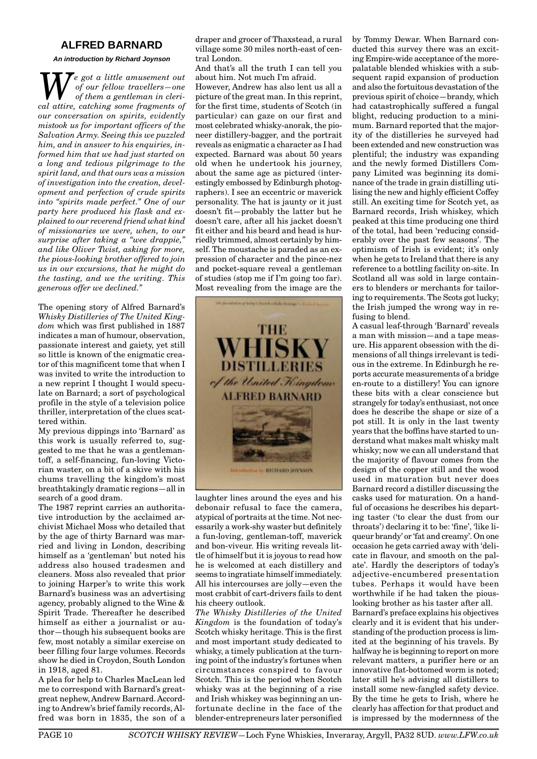#### **ALFRED BARNARD**

**An introduction by Richard Joynson**

*We got a little amusement out*<br>of our fellow travellers-one<br>cal attire catching some fragments of *of our fellow travellers—one of them a gentleman in clerical attire, catching some fragments of our conversation on spirits, evidently mistook us for important officers of the Salvation Army. Seeing this we puzzled him, and in answer to his enquiries, informed him that we had just started on a long and tedious pilgrimage to the spirit land, and that ours was a mission of investigation into the creation, development and perfection of crude spirits into "spirits made perfect." One of our party here produced his flask and explained to our reverend friend what kind of missionaries we were, when, to our surprise after taking a "wee drappie," and like Oliver Twist, asking for more, the pious-looking brother offered to join us in our excursions, that he might do the tasting, and we the writing. This generous offer we declined."*

The opening story of Alfred Barnard's *Whisky Distilleries of The United Kingdom* which was first published in 1887 indicates a man of humour, observation, passionate interest and gaiety, yet still so little is known of the enigmatic creator of this magnificent tome that when I was invited to write the introduction to a new reprint I thought I would speculate on Barnard; a sort of psychological profile in the style of a television police thriller, interpretation of the clues scattered within.

My previous dippings into 'Barnard' as this work is usually referred to, suggested to me that he was a gentlemantoff, a self-financing, fun-loving Victorian waster, on a bit of a skive with his chums travelling the kingdom's most breathtakingly dramatic regions—all in search of a good dram.

The 1987 reprint carries an authoritative introduction by the acclaimed archivist Michael Moss who detailed that by the age of thirty Barnard was married and living in London, describing himself as a 'gentleman' but noted his address also housed tradesmen and cleaners. Moss also revealed that prior to joining Harper's to write this work Barnard's business was an advertising agency, probably aligned to the Wine & Spirit Trade. Thereafter he described himself as either a journalist or author—though his subsequent books are few, most notably a similar exercise on beer filling four large volumes. Records show he died in Croydon, South London in 1918, aged 81.

A plea for help to Charles MacLean led me to correspond with Barnard's greatgreat nephew, Andrew Barnard. According to Andrew's brief family records, Alfred was born in 1835, the son of a draper and grocer of Thaxstead, a rural village some 30 miles north-east of central London.

And that's all the truth I can tell you about him. Not much I'm afraid.

However, Andrew has also lent us all a picture of the great man. In this reprint, for the first time, students of Scotch (in particular) can gaze on our first and most celebrated whisky-anorak, the pioneer distillery-bagger, and the portrait reveals as enigmatic a character as I had expected. Barnard was about 50 years old when he undertook his journey, about the same age as pictured (interestingly embossed by Edinburgh photographers). I see an eccentric or maverick personality. The hat is jaunty or it just doesn't fit—probably the latter but he doesn't care, after all his jacket doesn't fit either and his beard and head is hurriedly trimmed, almost certainly by himself. The moustache is paraded as an expression of character and the pince-nez and pocket-square reveal a gentleman of studies (stop me if I'm going too far). Most revealing from the image are the



laughter lines around the eyes and his debonair refusal to face the camera, atypical of portraits at the time. Not necessarily a work-shy waster but definitely a fun-loving, gentleman-toff, maverick and bon-viveur. His writing reveals little of himself but it is joyous to read how he is welcomed at each distillery and seems to ingratiate himself immediately. All his intercourses are jolly—even the most crabbit of cart-drivers fails to dent his cheery outlook.

*The Whisky Distilleries of the United Kingdom* is the foundation of today's Scotch whisky heritage. This is the first and most important study dedicated to whisky, a timely publication at the turning point of the industry's fortunes when circumstances conspired to favour Scotch. This is the period when Scotch whisky was at the beginning of a rise and Irish whiskey was beginning an unfortunate decline in the face of the blender-entrepreneurs later personified by Tommy Dewar. When Barnard conducted this survey there was an exciting Empire-wide acceptance of the morepalatable blended whiskies with a subsequent rapid expansion of production and also the fortuitous devastation of the previous spirit of choice—brandy, which had catastrophically suffered a fungal blight, reducing production to a minimum. Barnard reported that the majority of the distilleries he surveyed had been extended and new construction was plentiful; the industry was expanding and the newly formed Distillers Company Limited was beginning its dominance of the trade in grain distilling utilising the new and highly efficient Coffey still. An exciting time for Scotch yet, as Barnard records, Irish whiskey, which peaked at this time producing one third of the total, had been 'reducing considerably over the past few seasons'. The optimism of Irish is evident; it's only when he gets to Ireland that there is any reference to a bottling facility on-site. In Scotland all was sold in large containers to blenders or merchants for tailoring to requirements. The Scots got lucky; the Irish jumped the wrong way in refusing to blend.

A casual leaf-through 'Barnard' reveals a man with mission—and a tape measure. His apparent obsession with the dimensions of all things irrelevant is tedious in the extreme. In Edinburgh he reports accurate measurements of a bridge en-route to a distillery! You can ignore these bits with a clear conscience but strangely for today's enthusiast, not once does he describe the shape or size of a pot still. It is only in the last twenty years that the boffins have started to understand what makes malt whisky malt whisky; now we can all understand that the majority of flavour comes from the design of the copper still and the wood used in maturation but never does Barnard record a distiller discussing the casks used for maturation. On a handful of occasions he describes his departing taster ('to clear the dust from our throats') declaring it to be: 'fine', 'like liqueur brandy' or 'fat and creamy'. On one occasion he gets carried away with 'delicate in flavour, and smooth on the palate'. Hardly the descriptors of today's adjective-encumbered presentation tubes. Perhaps it would have been worthwhile if he had taken the piouslooking brother as his taster after all. Barnard's preface explains his objectives

clearly and it is evident that his understanding of the production process is limited at the beginning of his travels. By halfway he is beginning to report on more relevant matters, a purifier here or an innovative flat-bottomed worm is noted; later still he's advising all distillers to install some new-fangled safety device. By the time he gets to Irish, where he clearly has affection for that product and is impressed by the modernness of the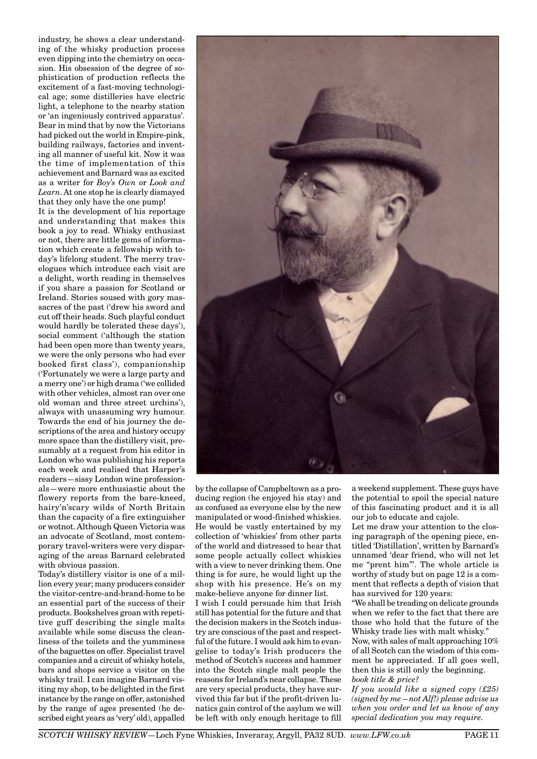industry, he shows a clear understanding of the whisky production process even dipping into the chemistry on occasion. His obsession of the degree of sophistication of production reflects the excitement of a fast-moving technological age; some distilleries have electric light, a telephone to the nearby station or 'an ingeniously contrived apparatus'. Bear in mind that by now the Victorians had picked out the world in Empire-pink, building railways, factories and inventing all manner of useful kit. Now it was the time of implementation of this achievement and Barnard was as excited as a writer for *Boy's Own* or *Look and Learn*. At one stop he is clearly dismayed that they only have the one pump!

It is the development of his reportage and understanding that makes this book a joy to read. Whisky enthusiast or not, there are little gems of information which create a fellowship with today's lifelong student. The merry travelogues which introduce each visit are a delight, worth reading in themselves if you share a passion for Scotland or Ireland. Stories soused with gory massacres of the past ('drew his sword and cut off their heads. Such playful conduct would hardly be tolerated these days'), social comment ('although the station had been open more than twenty years, we were the only persons who had ever booked first class'), companionship ('Fortunately we were a large party and a merry one') or high drama ('we collided with other vehicles, almost ran over one old woman and three street urchins'), always with unassuming wry humour. Towards the end of his journey the descriptions of the area and history occupy more space than the distillery visit, presumably at a request from his editor in London who was publishing his reports each week and realised that Harper's readers—sissy London wine professionals—were more enthusiastic about the flowery reports from the bare-kneed, hairy'n'scary wilds of North Britain than the capacity of a fire extinguisher or wotnot. Although Queen Victoria was an advocate of Scotland, most contemporary travel-writers were very disparaging of the areas Barnard celebrated with obvious passion.

Today's distillery visitor is one of a million every year; many producers consider the visitor-centre-and-brand-home to be an essential part of the success of their products. Bookshelves groan with repetitive guff describing the single malts available while some discuss the cleanliness of the toilets and the yumminess of the baguettes on offer. Specialist travel companies and a circuit of whisky hotels, bars and shops service a visitor on the whisky trail. I can imagine Barnard visiting my shop, to be delighted in the first instance by the range on offer, astonished by the range of ages presented (he described eight years as 'very' old), appalled by the collapse of Campbeltown as a producing region (he enjoyed his stay) and as confused as everyone else by the new manipulated or wood-finished whiskies. He would be vastly entertained by my collection of 'whiskies' from other parts of the world and distressed to hear that some people actually collect whiskies with a view to never drinking them. One thing is for sure, he would light up the shop with his presence. He's on my make-believe anyone for dinner list.

I wish I could persuade him that Irish still has potential for the future and that the decision makers in the Scotch industry are conscious of the past and respectful of the future. I would ask him to evangelise to today's Irish producers the method of Scotch's success and hammer into the Scotch single malt people the reasons for Ireland's near collapse. These are very special products, they have survived this far but if the profit-driven lunatics gain control of the asylum we will be left with only enough heritage to fill a weekend supplement. These guys have the potential to spoil the special nature of this fascinating product and it is all our job to educate and cajole.

Let me draw your attention to the closing paragraph of the opening piece, entitled 'Distillation', written by Barnard's unnamed 'dear friend, who will not let me "prent him"'. The whole article is worthy of study but on page 12 is a comment that reflects a depth of vision that has survived for 120 years:

"We shall be treading on delicate grounds when we refer to the fact that there are those who hold that the future of the Whisky trade lies with malt whisky."

Now, with sales of malt approaching 10% of all Scotch can the wisdom of this comment be appreciated. If all goes well, then this is still only the beginning. *book title & price?*

*If you would like a signed copy (£25) (signed by me—not Alf!) please advise us when you order and let us know of any special dedication you may require.*